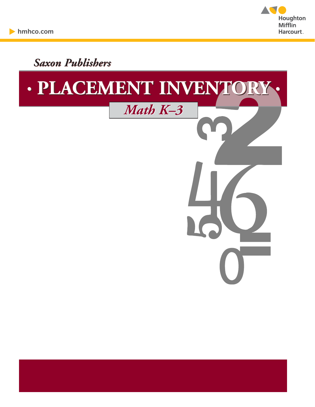

*Saxon Publishers on* 

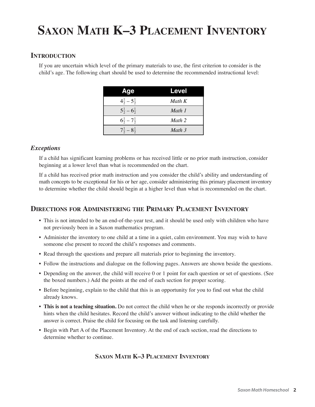# **SAXON MATH K–3 PLACEMENT INVENTORY**

#### **INTRODUCTION**

If you are uncertain which level of the primary materials to use, the first criterion to consider is the child's age. The following chart should be used to determine the recommended instructional level:

| Age                           | Level             |
|-------------------------------|-------------------|
| $4\frac{1}{2} - 5\frac{1}{2}$ | Math K            |
| $5\frac{1}{2} - 6\frac{1}{2}$ | Math 1            |
| $6\frac{1}{2} - 7\frac{1}{2}$ | Math 2            |
| $7\frac{1}{2} - 8\frac{1}{2}$ | Math <sub>3</sub> |

#### *Exceptions*

If a child has significant learning problems or has received little or no prior math instruction, consider beginning at a lower level than what is recommended on the chart.

If a child has received prior math instruction and you consider the child's ability and understanding of math concepts to be exceptional for his or her age, consider administering this primary placement inventory to determine whether the child should begin at a higher level than what is recommended on the chart.

#### **DIRECTIONS FOR ADMINISTERING THE PRIMARY PLACEMENT INVENTORY**

- This is not intended to be an end-of-the-year test, and it should be used only with children who have not previously been in a Saxon mathematics program.
- Administer the inventory to one child at a time in a quiet, calm environment. You may wish to have someone else present to record the child's responses and comments.
- Read through the questions and prepare all materials prior to beginning the inventory.
- Follow the instructions and dialogue on the following pages. Answers are shown beside the questions.
- Depending on the answer, the child will receive 0 or 1 point for each question or set of questions. (See the boxed numbers.) Add the points at the end of each section for proper scoring.
- Before beginning, explain to the child that this is an opportunity for you to find out what the child already knows.
- **This is not a teaching situation.** Do not correct the child when he or she responds incorrectly or provide hints when the child hesitates. Record the child's answer without indicating to the child whether the answer is correct. Praise the child for focusing on the task and listening carefully.
- Begin with Part A of the Placement Inventory. At the end of each section, read the directions to determine whether to continue.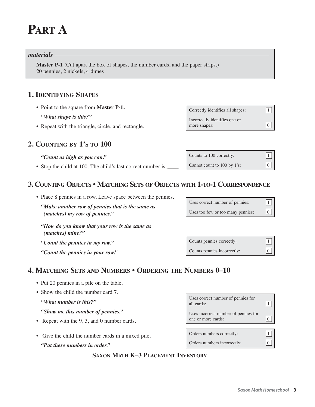# **PART A**

#### *materials*

**Master P-1** (Cut apart the box of shapes, the number cards, and the paper strips.) 20 pennies, 2 nickels, 4 dimes

#### **1. IDENTIFYING SHAPES**

- Point to the square from **Master P-1.**
	- *"What shape is this?"*
- Repeat with the triangle, circle, and rectangle.

#### **2. COUNTING BY 1'S TO 100**

#### *"Count as high as you can."*

• Stop the child at 100. The child's last correct number is \_

### **3. COUNTING OBJECTS • MATCHING SETS OF OBJECTS WITH 1-TO-1 CORRESPONDENCE**

- Place 8 pennies in a row. Leave space between the pennies.
	- *"Make another row of pennies that is the same as (matches) my row of pennies."*

*"How do you know that your row is the same as (matches) mine?"*

- *"Count the pennies in my row."*
- *"Count the pennies in your row."*

### **4. MATCHING SETS AND NUMBERS • ORDERING THE NUMBERS 0–10**

- Put 20 pennies in a pile on the table.
- Show the child the number card 7.
	- *"What number is this?"*
	- *"Show me this number of pennies."*
- Repeat with the 9, 3, and 0 number cards.
- Give the child the number cards in a mixed pile.
	- *"Put these numbers in order."*

#### **SAXON MATH K–3 PLACEMENT INVENTORY**

Correctly identifies all shapes:  $\boxed{1}$ Incorrectly identifies one or more shapes:  $\boxed{0}$ 

Counts to 100 correctly:  $\boxed{1}$ Cannot count to 100 by 1's:  $\vert$  0

Counts pennies correctly:  $|1$ Counts pennies incorrectly:  $|0|$ 

Uses correct number of pennies for  $\frac{1}{\text{all cards}}$ :  $\boxed{1}$ Uses incorrect number of pennies for one or more cards:  $|0|$ Orders numbers correctly: 1 Orders numbers incorrectly:  $|0|$ 

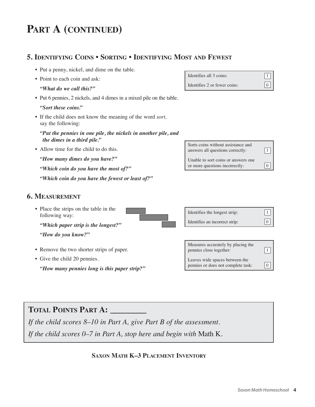# **PART A (CONTINUED)**

### **5. IDENTIFYING COINS • SORTING • IDENTIFYING MOST AND FEWEST**

- Put a penny, nickel, and dime on the table.
- Point to each coin and ask:

*"What do we call this?"*

• Put 6 pennies, 2 nickels, and 4 dimes in a mixed pile on the table.

*"Sort these coins."*

- If the child does not know the meaning of the word *sort,* say the following:
	- *"Put the pennies in one pile, the nickels in another pile, and the dimes in a third pile."*
- Allow time for the child to do this.

*"How many dimes do you have?"*

*"Which coin do you have the most of?"*

*"Which coin do you have the fewest or least of?"*

#### **6. MEASUREMENT**

- Place the strips on the table in the following way: *"Which paper strip is the longest?" "How do you know?"*
- Remove the two shorter strips of paper.
- Give the child 20 pennies.

*"How many pennies long is this paper strip?"*

Identifies all 3 coins:  $\boxed{1}$ Identifies 2 or fewer coins:  $\boxed{0}$ 







# **TOTAL POINTS PART A: \_\_\_\_\_\_\_\_\_\_\_\_**

*If the child scores 8–10 in Part A, give Part B of the assessment.*

*If the child scores 0–7 in Part A, stop here and begin with* Math K.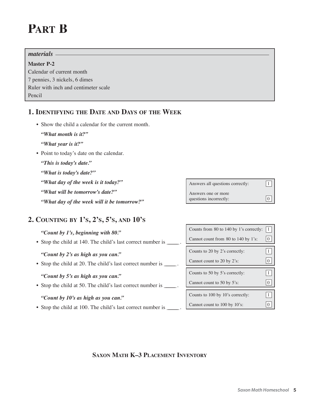# **PART B**

# *materials*

**Master P-2** Calendar of current month 7 pennies, 3 nickels, 6 dimes Ruler with inch and centimeter scale Pencil

### **1. IDENTIFYING THE DATE AND DAYS OF THE WEEK**

- Show the child a calendar for the current month.
	- *"What month is it?"*
	- *"What year is it?"*
- Point to today's date on the calendar.
	- *"This is today's date."*
	- *"What is today's date?"*
	- *"What day of the week is it today?"*
	- *"What will be tomorrow's date?"*
	- *"What day of the week will it be tomorrow?"*

## **2. COUNTING BY 1'S, 2'S, 5'S, AND 10'S**

#### *"Count by 1's, beginning with 80."*

• Stop the child at 140. The child's last correct number is \_\_\_\_\_.

*"Count by 2's as high as you can."*

• Stop the child at 20. The child's last correct number is \_\_\_\_\_\_.

#### *"Count by 5's as high as you can."*

• Stop the child at 50. The child's last correct number is \_\_\_\_\_\_\_\_.

#### *"Count by 10's as high as you can."*

• Stop the child at 100. The child's last correct number is \_\_\_\_\_.

Answers all questions correctly:  $\boxed{1}$ Answers one or more

questions incorrectly:  $|0|$ 

| Counts from 80 to 140 by 1's correctly: | $\perp$ |
|-----------------------------------------|---------|
| Cannot count from 80 to 140 by 1's:     |         |
| Counts to 20 by 2's correctly:          |         |
| Cannot count to 20 by 2's:              |         |
| Counts to 50 by 5's correctly:          |         |
|                                         |         |
| Cannot count to 50 by 5's:              |         |
|                                         |         |
| Counts to 100 by 10's correctly:        |         |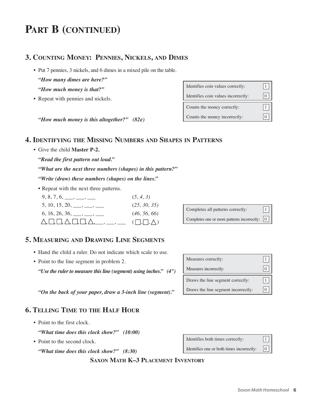# **PART B (CONTINUED)**

#### **3. COUNTING MONEY: PENNIES, NICKELS, AND DIMES**

• Put 7 pennies, 3 nickels, and 6 dimes in a mixed pile on the table.

*"How many dimes are here?"*

- *"How much money is that?"*
- Repeat with pennies and nickels.

Counts the money correctly:  $\boxed{1}$ Counts the money incorrectly:  $\boxed{0}$ Identifies coin values correctly:  $\boxed{1}$ Identifies coin values incorrectly:  $\boxed{0}$ 

*"How much money is this altogether?" (82¢)* 

#### **4. IDENTIFYING THE MISSING NUMBERS AND SHAPES IN PATTERNS**

• Give the child **Master P-2.**

*"Read the first pattern out loud."*

*"What are the next three numbers (shapes) in this pattern?"*

*"Write (draw) these numbers (shapes) on the lines."*

• Repeat with the next three patterns.

|                                                                                                                         | (5, 4, 3)                 |
|-------------------------------------------------------------------------------------------------------------------------|---------------------------|
| $5, 10, 15, 20, \underline{\hspace{1cm}}, \underline{\hspace{1cm}}, \underline{\hspace{1cm}}, \underline{\hspace{1cm}}$ | (25, 30, 35)              |
| $6, 16, 26, 36, \underline{\hspace{1cm}}, \underline{\hspace{1cm}}, \underline{\hspace{1cm}}, \underline{\hspace{1cm}}$ | (46, 56, 66)              |
| $\triangle, \square, \square, \triangle, \square, \square, \triangle, \_\_\_\_\_\_\_$                                   | $(\Box, \Box, \triangle)$ |

Completes all patterns correctly:  $\vert$ 1

Completes one or more patterns incorrectly:  $\begin{bmatrix} 0 \end{bmatrix}$ 

#### **5. MEASURING AND DRAWING LINE SEGMENTS**

- Hand the child a ruler. Do not indicate which scale to use.
- Point to the line segment in problem 2.

*"Use the ruler to measure this line (segment) using inches." (4")*

*"On the back of your paper, draw a 3-inch line (segment)."*

## **6. TELLING TIME TO THE HALF HOUR**

• Point to the first clock.

*"What time does this clock show?" (10:00)*

• Point to the second clock.

*"What time does this clock show?" (8:30)*

#### **SAXON MATH K–3 PLACEMENT INVENTORY**



| Identifies both times correctly:                                                                                                    | $\Box$                   |
|-------------------------------------------------------------------------------------------------------------------------------------|--------------------------|
| $\mathbf{r}$ and $\mathbf{r}$ and $\mathbf{r}$ and $\mathbf{r}$ and $\mathbf{r}$ and $\mathbf{r}$ and $\mathbf{r}$ and $\mathbf{r}$ | $\lfloor \wedge \rfloor$ |

Identifies one or both times incorrectly:  $[0]$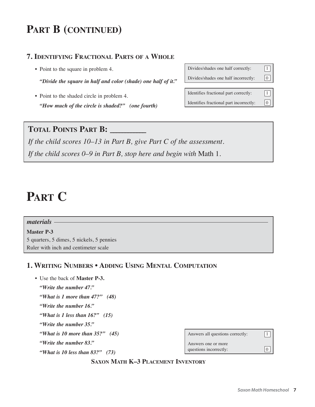# **PART B (CONTINUED)**

## **7. IDENTIFYING FRACTIONAL PARTS OF A WHOLE**

• Point to the square in problem 4.

*"Divide the square in half and color (shade) one half of it."*

• Point to the shaded circle in problem 4. *"How much of the circle is shaded?" (one fourth)*

| Divides/shades one half correctly:      |   |
|-----------------------------------------|---|
| Divides/shades one half incorrectly:    | 0 |
|                                         |   |
| Identifies fractional part correctly:   |   |
| Identifies fractional part incorrectly: |   |

## **TOTAL POINTS PART B: \_\_\_\_\_\_\_\_\_\_\_\_**

*If the child scores 10–13 in Part B, give Part C of the assessment. If the child scores 0–9 in Part B, stop here and begin with* Math 1.

# **PART C**

#### *materials*

**Master P-3** 5 quarters, 5 dimes, 5 nickels, 5 pennies Ruler with inch and centimeter scale

### **1. WRITING NUMBERS • ADDING USING MENTAL COMPUTATION**

- Use the back of **Master P-3.**
	- *"Write the number 47."*
	- *"What is 1 more than 47?" (48)*
	- *"Write the number 16."*
	- *"What is 1 less than 16?" (15)*
	- *"Write the number 35."*
	- *"What is 10 more than 35?" (45)*
	- *"Write the number 83."*
	- *"What is 10 less than 83?" (73)*

| Answers all questions correctly:              |  |
|-----------------------------------------------|--|
| Answers one or more<br>questions incorrectly: |  |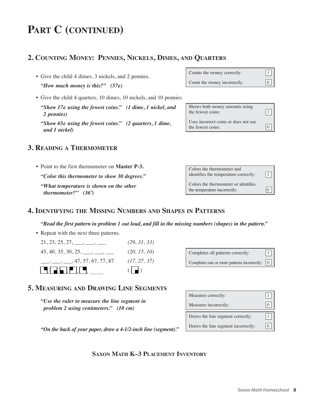# **PART C (CONTINUED)**

### **2. COUNTING MONEY: PENNIES, NICKELS, DIMES, AND QUARTERS**

- Give the child 4 dimes, 3 nickels, and 2 pennies. *"How much money is this?" (57¢)*
- Give the child 4 quarters, 10 dimes, 10 nickels, and 10 pennies.
	- *"Show 17¢ using the fewest coins." (1 dime, 1 nickel, and 2 pennies)*
	- *"Show 65¢ using the fewest coins." (2 quarters, 1 dime, and 1 nickel)*

#### **3. READING A THERMOMETER**

• Point to the first thermometer on **Master P-3.** *"Color this thermometer to show 30 degrees." "What temperature is shown on the other thermometer?" (36º)*

| Counts the money correctly:  | 1           |
|------------------------------|-------------|
| Count the money incorrectly: | $\boxed{0}$ |

| Shows both money amounts using<br>the fewest coins:       |  |
|-----------------------------------------------------------|--|
| Uses incorrect coins or does not use<br>the fewest coins: |  |

| Colors the thermometer and<br>identifies the temperature correctly:  |  |
|----------------------------------------------------------------------|--|
| Colors the thermometer or identifies<br>the temperature incorrectly: |  |

#### **4. IDENTIFYING THE MISSING NUMBERS AND SHAPES IN PATTERNS**

*"Read the first pattern in problem 1 out loud, and fill in the missing numbers (shapes) in the pattern."*

• Repeat with the next three patterns.



| Completes all patterns correctly: | $\boxed{1}$ |
|-----------------------------------|-------------|
|                                   |             |

Completes one or more patterns incorrectly:  $\boxed{0}$ 

#### **5. MEASURING AND DRAWING LINE SEGMENTS**

*"Use the ruler to measure the line segment in problem 2 using centimeters." (10 cm)*

*"On the back of your paper, draw a 4-1/2-inch line (segment)."*

Measures correctly:  $\boxed{1}$ Measures incorrectly:  $\boxed{0}$ Draws the line segment correctly:  $\vert$ 1 Draws the line segment incorrectly:  $\boxed{0}$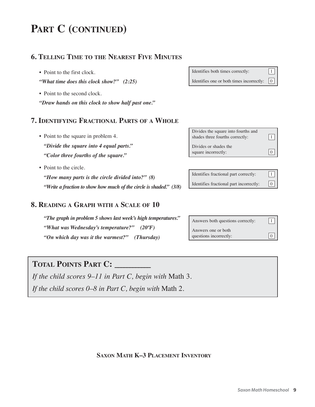# **PART C (CONTINUED)**

#### **6. TELLING TIME TO THE NEAREST FIVE MINUTES**

- Point to the first clock.
- *"What time does this clock show?" (2:25)*
- Point to the second clock.
- *"Draw hands on this clock to show half past one."*

| Identifies both times correctly:                                            | $\vert 1 \vert$ |
|-----------------------------------------------------------------------------|-----------------|
| Identifies one or both times incorrectly: $\begin{bmatrix} 0 \end{bmatrix}$ |                 |

#### **7. IDENTIFYING FRACTIONAL PARTS OF A WHOLE**

- Point to the square in problem 4. *"Divide the square into 4 equal parts." "Color three fourths of the square."*
- Point to the circle.

*"How many parts is the circle divided into?" (8) "Write a fraction to show how much of the circle is shaded." (3/8)*

#### **8. READING A GRAPH WITH A SCALE OF 10**

*"The graph in problem 5 shows last week's high temperatures." "What was Wednesday's temperature?" (20ºF) "On which day was it the warmest?" (Thursday)*

Divides the square into fourths and shades three fourths correctly:  $\boxed{1}$ Divides or shades the square incorrectly:  $|0|$ 

Identifies fractional part correctly:  $\begin{vmatrix} 1 \end{vmatrix}$ Identifies fractional part incorrectly:  $\boxed{0}$ 

Answers both questions correctly:  $\boxed{1}$ Answers one or both questions incorrectly:  $\boxed{0}$ 

## **TOTAL POINTS PART C: \_\_\_\_\_\_\_\_\_\_\_\_**

*If the child scores 9–11 in Part C, begin with* Math 3. *If the child scores 0–8 in Part C, begin with* Math 2.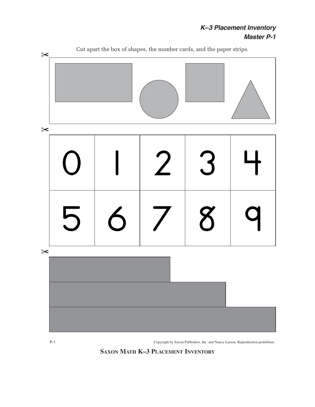### *K–3 Placement Inventory Master P-1*



P-1 Copyright by Saxon Publishers, Inc. and Nancy Larson. Reproduction prohibited.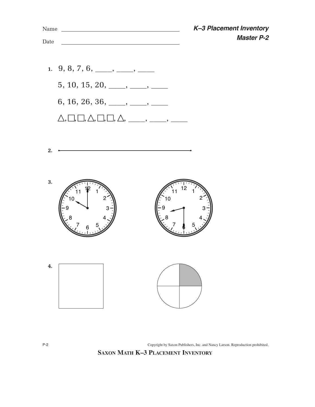

P-2 Copyright by Saxon Publishers, Inc. and Nancy Larson. Reproduction prohibited.

**SAXON MATH K–3 PLACEMENT INVENTORY**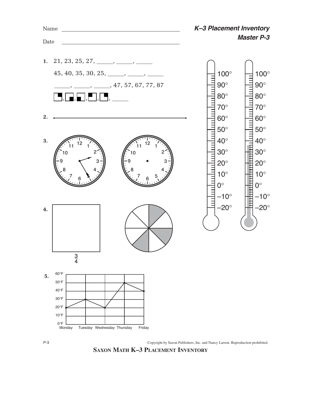



**SAXON MATH K–3 PLACEMENT INVENTORY**